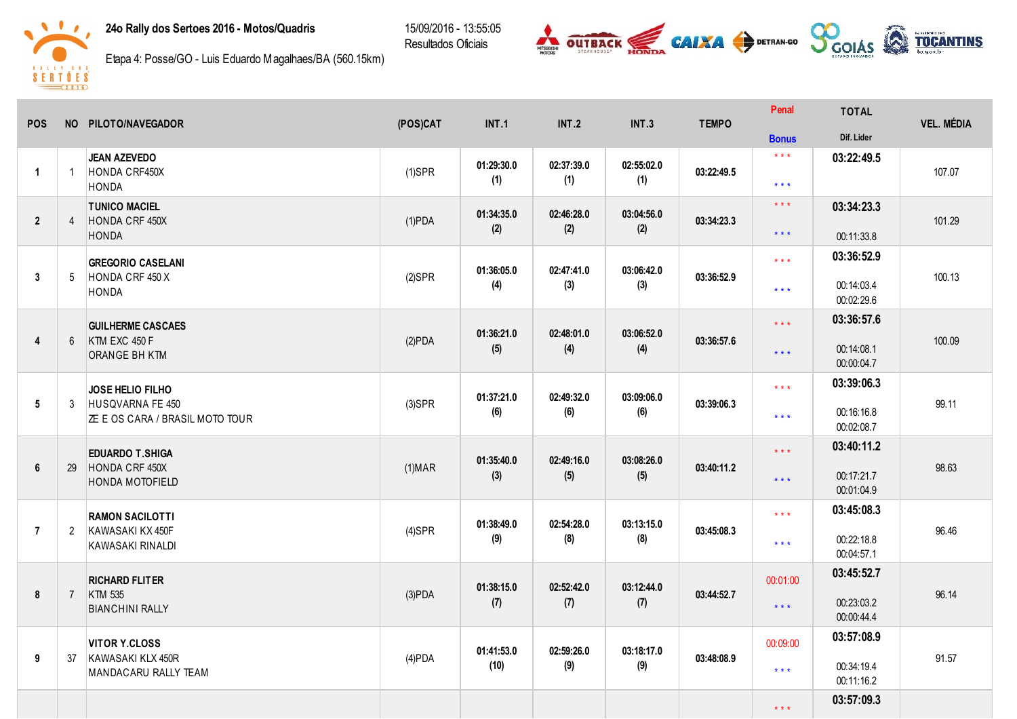## 24o Rally dos Sertoes 2016 - Motos/Quadris

15/09/2016 - 13:55:05 Resultados Oficiais





Etapa 4: Posse/GO - Luis Eduardo Magalhaes/BA (560.15km)

| <b>POS</b>     |                | NO PILOTO/NAVEGADOR                                        | (POS)CAT       | <b>INT.1</b> | <b>INT.2</b> | <b>INT.3</b> | <b>TEMPO</b> | Penal                   | <b>TOTAL</b>             | <b>VEL. MÉDIA</b> |
|----------------|----------------|------------------------------------------------------------|----------------|--------------|--------------|--------------|--------------|-------------------------|--------------------------|-------------------|
|                |                |                                                            |                |              |              |              |              | <b>Bonus</b>            | Dif. Lider               |                   |
|                | $\overline{1}$ | <b>JEAN AZEVEDO</b><br>HONDA CRF450X                       |                | 01:29:30.0   | 02:37:39.0   | 02:55:02.0   | 03:22:49.5   | $\star$ $\star$ $\star$ | 03:22:49.5               | 107.07            |
| $\overline{1}$ |                | <b>HONDA</b>                                               | $(1)$ SPR      | (1)          | (1)          | (1)          |              | $***$                   |                          |                   |
| $\overline{2}$ | $\overline{4}$ | <b>TUNICO MACIEL</b><br>HONDA CRF 450X                     |                | 01:34:35.0   | 02:46:28.0   | 03:04:56.0   | 03:34:23.3   | $\star \star \star$     | 03:34:23.3               | 101.29            |
|                |                | <b>HONDA</b>                                               | $(1)$ PDA      | (2)          | (2)          | (2)          |              | $\star\star\star$       | 00:11:33.8               |                   |
|                |                | <b>GREGORIO CASELANI</b>                                   |                | 01:36:05.0   | 02:47:41.0   | 03:06:42.0   |              | $\star\star\star$       | 03:36:52.9               |                   |
| 3              | 5              | HONDA CRF 450 X<br>HONDA                                   | $(2)$ SPR      | (4)          | (3)          | (3)          | 03:36:52.9   | $***$                   | 00:14:03.4<br>00:02:29.6 | 100.13            |
|                |                | <b>GUILHERME CASCAES</b>                                   |                | 01:36:21.0   | 02:48:01.0   | 03:06:52.0   |              | $\star\star\star$       | 03:36:57.6               |                   |
| $\overline{4}$ | 6              | KTM EXC 450 F<br><b>ORANGE BH KTM</b>                      | (2)PDA         | (5)          | (4)          | (4)          | 03:36:57.6   | $\star$ $\star$ $\star$ | 00:14:08.1<br>00:00:04.7 | 100.09            |
|                |                | JOSE HELIO FILHO                                           |                | 01:37:21.0   | 02:49:32.0   | 03:09:06.0   |              | $\star$ $\star$ $\star$ | 03:39:06.3               |                   |
| 5              | 3              | HUSQVARNA FE 450<br><b>ZE E OS CARA / BRASIL MOTO TOUR</b> | $(3)$ SPR      | (6)          | (6)          | (6)          | 03:39:06.3   | $***$                   | 00:16:16.8<br>00:02:08.7 | 99.11             |
|                |                | <b>EDUARDO T.SHIGA</b>                                     |                | 01:35:40.0   | 02:49:16.0   | 03:08:26.0   |              | $***$                   | 03:40:11.2               |                   |
| $6\phantom{1}$ | 29             | HONDA CRF 450X<br><b>HONDA MOTOFIELD</b>                   | (1) <b>MAR</b> | (3)          | (5)          | (5)          | 03:40:11.2   | $***$                   | 00:17:21.7<br>00:01:04.9 | 98.63             |
|                |                | <b>RAMON SACILOTTI</b>                                     |                | 01:38:49.0   | 02:54:28.0   | 03:13:15.0   |              | $\star$ $\star$ $\star$ | 03:45:08.3               |                   |
| $\overline{7}$ | $\overline{2}$ | KAWASAKI KX 450F<br>KAWASAKI RINALDI                       | $(4)$ SPR      | (9)          | (8)          | (8)          | 03:45:08.3   | $* * *$                 | 00:22:18.8<br>00:04:57.1 | 96.46             |
|                |                | <b>RICHARD FLITER</b>                                      |                | 01:38:15.0   | 02:52:42.0   | 03:12:44.0   |              | 00:01:00                | 03:45:52.7               |                   |
| 8              | $\overline{7}$ | KTM 535<br><b>BIANCHINI RALLY</b>                          | (3)PDA         | (7)          | (7)          | (7)          | 03:44:52.7   | $***$                   | 00:23:03.2<br>00:00:44.4 | 96.14             |
|                |                | <b>VITOR Y.CLOSS</b>                                       |                | 01:41:53.0   | 02:59:26.0   | 03:18:17.0   |              | 00:09:00                | 03:57:08.9               |                   |
| 9              | 37             | KAWASAKI KLX 450R<br>MANDACARU RALLY TEAM                  | $(4)$ PDA      | (10)         | (9)          | (9)          | 03:48:08.9   | $\star\star\star$       | 00:34:19.4<br>00:11:16.2 | 91.57             |
|                |                |                                                            |                |              |              |              |              | $\star$ $\star$ $\star$ | 03:57:09.3               |                   |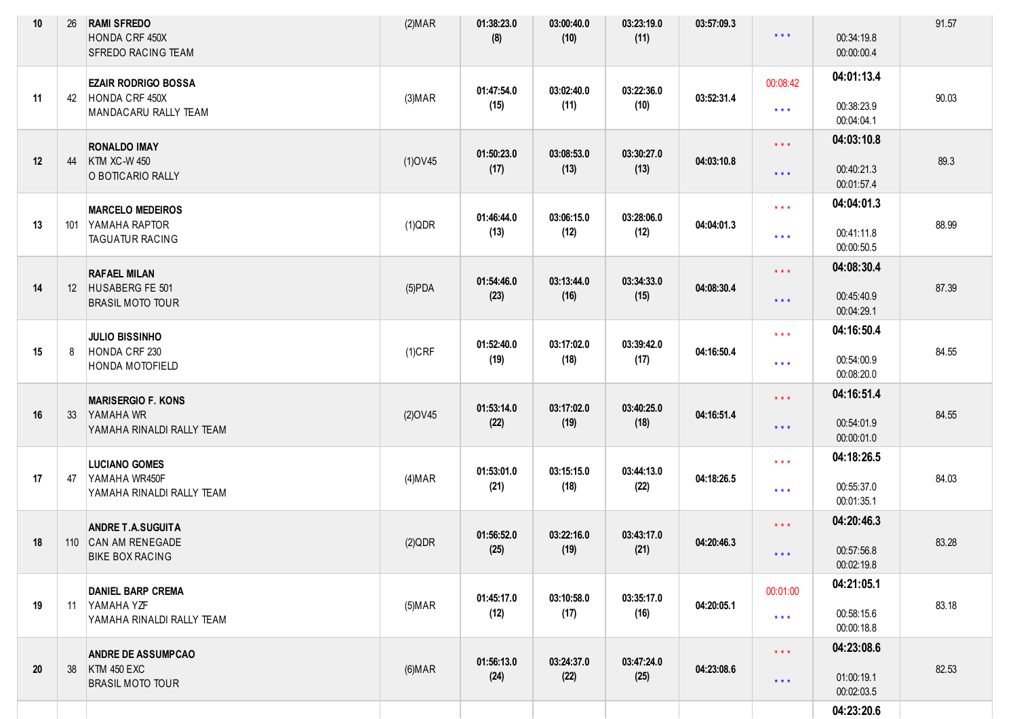| 10 | 26  | <b>RAMI SFREDO</b><br>HONDA CRF 450X<br>SFREDO RACING TEAM                 | (2) <b>MAR</b> | 01:38:23.0<br>(8)  | 03:00:40.0<br>(10) | 03:23:19.0<br>(11) | 03:57:09.3 | $***$                                              | 00:34:19.8<br>00:00:00.4               | 91.57 |
|----|-----|----------------------------------------------------------------------------|----------------|--------------------|--------------------|--------------------|------------|----------------------------------------------------|----------------------------------------|-------|
| 11 | 42  | <b>EZAIR RODRIGO BOSSA</b><br>HONDA CRF 450X<br>MANDACARU RALLY TEAM       | (3) <b>MAP</b> | 01:47:54.0<br>(15) | 03:02:40.0<br>(11) | 03:22:36.0<br>(10) | 03:52:31.4 | 00:08:42<br>$\star\star\star$                      | 04:01:13.4<br>00:38:23.9<br>00:04:04.1 | 90.03 |
| 12 | 44  | <b>RONALDO IMAY</b><br><b>KTM XC-W 450</b><br>O BOTICARIO RALLY            | $(1)$ OV45     | 01:50:23.0<br>(17) | 03:08:53.0<br>(13) | 03:30:27.0<br>(13) | 04:03:10.8 | $\star\star\star$<br>$***$                         | 04:03:10.8<br>00:40:21.3<br>00:01:57.4 | 89.3  |
| 13 | 101 | <b>MARCELO MEDEIROS</b><br>YAMAHA RAPTOR<br><b>TAGUATUR RACING</b>         | (1)QDR         | 01:46:44.0<br>(13) | 03:06:15.0<br>(12) | 03:28:06.0<br>(12) | 04:04:01.3 | $\star \star \star$<br>$***$                       | 04:04:01.3<br>00:41:11.8<br>00:00:50.5 | 88.99 |
| 14 |     | <b>RAFAEL MILAN</b><br>12 HUSABERG FE 501<br><b>BRASIL MOTO TOUR</b>       | $(5)$ PDA      | 01:54:46.0<br>(23) | 03:13:44.0<br>(16) | 03:34:33.0<br>(15) | 04:08:30.4 | $***$<br>$\star$ $\star$ $\star$                   | 04:08:30.4<br>00:45:40.9<br>00:04:29.1 | 87.39 |
| 15 | 8   | <b>JULIO BISSINHO</b><br>HONDA CRF 230<br><b>HONDA MOTOFIELD</b>           | $(1)$ CRF      | 01:52:40.0<br>(19) | 03:17:02.0<br>(18) | 03:39:42.0<br>(17) | 04:16:50.4 | $***$<br>$***$                                     | 04:16:50.4<br>00:54:00.9<br>00:08:20.0 | 84.55 |
| 16 | 33  | <b>MARISERGIO F. KONS</b><br>YAMAHA WR<br>YAMAHA RINALDI RALLY TEAM        | $(2)$ OV45     | 01:53:14.0<br>(22) | 03:17:02.0<br>(19) | 03:40:25.0<br>(18) | 04:16:51.4 | $***$<br>$\star \star \star$                       | 04:16:51.4<br>00:54:01.9<br>00:00:01.0 | 84.55 |
| 17 | 47  | <b>LUCIANO GOMES</b><br>YAMAHA WR450F<br>YAMAHA RINALDI RALLY TEAM         | (4) <b>MAR</b> | 01:53:01.0<br>(21) | 03:15:15.0<br>(18) | 03:44:13.0<br>(22) | 04:18:26.5 | $\star$ $\star$ $\star$<br>$\star$ $\star$ $\star$ | 04:18:26.5<br>00:55:37.0<br>00:01:35.1 | 84.03 |
| 18 |     | <b>ANDRE T.A.SUGUITA</b><br>110 CAN AM RENEGADE<br><b>BIKE BOX RACING</b>  | (2)QDR         | 01:56:52.0<br>(25) | 03:22:16.0<br>(19) | 03:43:17.0<br>(21) | 04:20:46.3 | $\star\star\star$<br>$***$                         | 04:20:46.3<br>00:57:56.8<br>00:02:19.8 | 83.28 |
| 19 |     | <b>DANIEL BARP CREMA</b><br>11 YAMAHA YZF<br>YAMAHA RINALDI RALLY TEAM     | $(5)$ MAR      | 01:45:17.0<br>(12) | 03:10:58.0<br>(17) | 03:35:17.0<br>(16) | 04:20:05.1 | 00:01:00<br>$***$                                  | 04:21:05.1<br>00:58:15.6<br>00:00:18.8 | 83.18 |
| 20 | 38  | <b>ANDRE DE ASSUMPCAO</b><br><b>KTM 450 EXC</b><br><b>BRASIL MOTO TOUR</b> | (6) <b>MAR</b> | 01:56:13.0<br>(24) | 03:24:37.0<br>(22) | 03:47:24.0<br>(25) | 04:23:08.6 | $\star \star \star$<br>$\star$ $\star$ $\star$     | 04:23:08.6<br>01:00:19.1<br>00:02:03.5 | 82.53 |
|    |     |                                                                            |                |                    |                    |                    |            |                                                    | 04:23:20.6                             |       |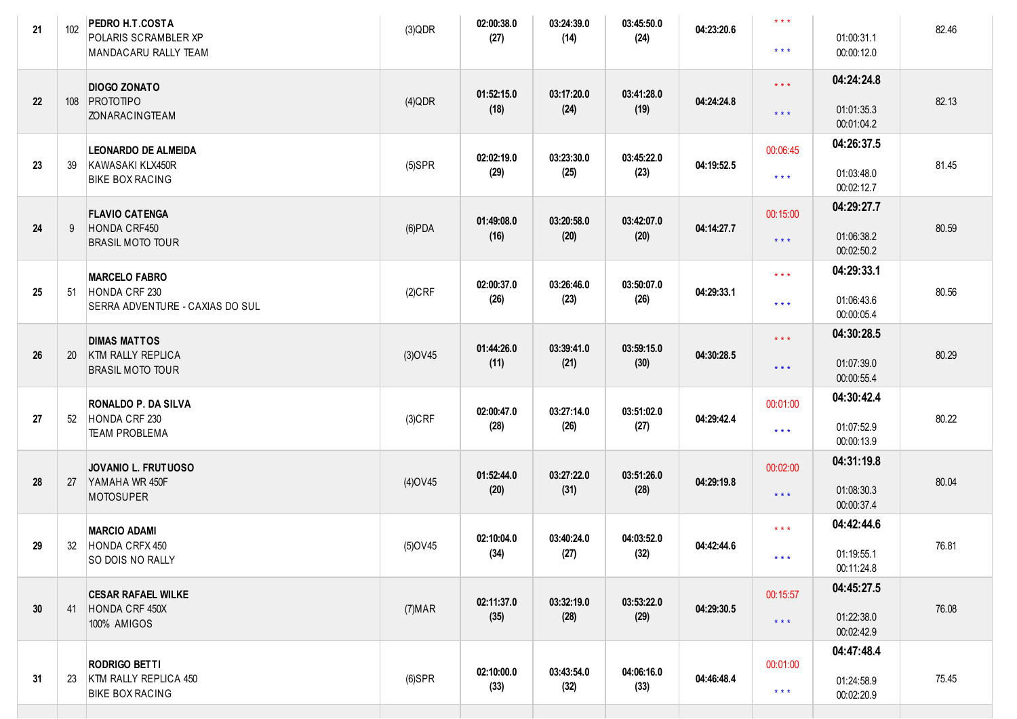| 21 | 102 | PEDRO H.T.COSTA<br>POLARIS SCRAMBLER XP<br>MANDACARU RALLY TEAM          | (3)QDR         | 02:00:38.0<br>(27) | 03:24:39.0<br>(14) | 03:45:50.0<br>(24) | 04:23:20.6 | $\star\star\star$<br>$\star$ $\star$ $\star$ | 01:00:31.1<br>00:00:12.0               | 82.46 |
|----|-----|--------------------------------------------------------------------------|----------------|--------------------|--------------------|--------------------|------------|----------------------------------------------|----------------------------------------|-------|
| 22 |     | <b>DIOGO ZONATO</b><br>108 PROTOTIPO<br><b>ZONARACINGTEAM</b>            | $(4)$ QDR      | 01:52:15.0<br>(18) | 03:17:20.0<br>(24) | 03:41:28.0<br>(19) | 04:24:24.8 | $***$<br>$\star$ $\star$ $\star$             | 04:24:24.8<br>01:01:35.3<br>00:01:04.2 | 82.13 |
| 23 | 39  | <b>LEONARDO DE ALMEIDA</b><br>KAWASAKI KLX450R<br><b>BIKE BOX RACING</b> | $(5)$ SPR      | 02:02:19.0<br>(29) | 03:23:30.0<br>(25) | 03:45:22.0<br>(23) | 04:19:52.5 | 00:06:45<br>$\star\star\star$                | 04:26:37.5<br>01:03:48.0<br>00:02:12.7 | 81.45 |
| 24 | 9   | <b>FLAVIO CATENGA</b><br>HONDA CRF450<br><b>BRASIL MOTO TOUR</b>         | $(6)$ PDA      | 01:49:08.0<br>(16) | 03:20:58.0<br>(20) | 03:42:07.0<br>(20) | 04:14:27.7 | 00:15:00<br>$***$                            | 04:29:27.7<br>01:06:38.2<br>00:02:50.2 | 80.59 |
| 25 | 51  | <b>MARCELO FABRO</b><br>HONDA CRF 230<br>SERRA ADVENTURE - CAXIAS DO SUL | $(2)$ CRF      | 02:00:37.0<br>(26) | 03:26:46.0<br>(23) | 03:50:07.0<br>(26) | 04:29:33.1 | $***$<br>$\star$ $\star$ $\star$             | 04:29:33.1<br>01:06:43.6<br>00:00:05.4 | 80.56 |
| 26 | 20  | <b>DIMAS MATTOS</b><br>KTM RALLY REPLICA<br><b>BRASIL MOTO TOUR</b>      | $(3)$ OV45     | 01:44:26.0<br>(11) | 03:39:41.0<br>(21) | 03:59:15.0<br>(30) | 04:30:28.5 | $\star\star\star$<br>$\star$ $\star$ $\star$ | 04:30:28.5<br>01:07:39.0<br>00:00:55.4 | 80.29 |
| 27 | 52  | RONALDO P. DA SILVA<br>HONDA CRF 230<br><b>TEAM PROBLEMA</b>             | $(3)$ CRF      | 02:00:47.0<br>(28) | 03:27:14.0<br>(26) | 03:51:02.0<br>(27) | 04:29:42.4 | 00:01:00<br>$\star$ $\star$ $\star$          | 04:30:42.4<br>01:07:52.9<br>00:00:13.9 | 80.22 |
| 28 | 27  | JOVANIO L. FRUTUOSO<br>YAMAHA WR 450F<br><b>MOTOSUPER</b>                | $(4)$ OV45     | 01:52:44.0<br>(20) | 03:27:22.0<br>(31) | 03:51:26.0<br>(28) | 04:29:19.8 | 00:02:00<br>$***$                            | 04:31:19.8<br>01:08:30.3<br>00:00:37.4 | 80.04 |
| 29 | 32  | <b>MARCIO ADAMI</b><br>HONDA CRFX 450<br>SO DOIS NO RALLY                | $(5)$ OV45     | 02:10:04.0<br>(34) | 03:40:24.0<br>(27) | 04:03:52.0<br>(32) | 04:42:44.6 | $\star$ $\star$ $\star$<br>* * *             | 04:42:44.6<br>01:19:55.1<br>00:11:24.8 | 76.81 |
| 30 | 41  | <b>CESAR RAFAEL WILKE</b><br>HONDA CRF 450X<br>100% AMIGOS               | (7) <b>MAR</b> | 02:11:37.0<br>(35) | 03:32:19.0<br>(28) | 03:53:22.0<br>(29) | 04:29:30.5 | 00:15:57<br>$***$                            | 04:45:27.5<br>01:22:38.0<br>00:02:42.9 | 76.08 |
| 31 | 23  | <b>RODRIGO BETTI</b><br>KTM RALLY REPLICA 450<br><b>BIKE BOX RACING</b>  | $(6)$ SPR      | 02:10:00.0<br>(33) | 03:43:54.0<br>(32) | 04:06:16.0<br>(33) | 04:46:48.4 | 00:01:00<br>$***$                            | 04:47:48.4<br>01:24:58.9<br>00:02:20.9 | 75.45 |
|    |     |                                                                          |                |                    |                    |                    |            |                                              |                                        |       |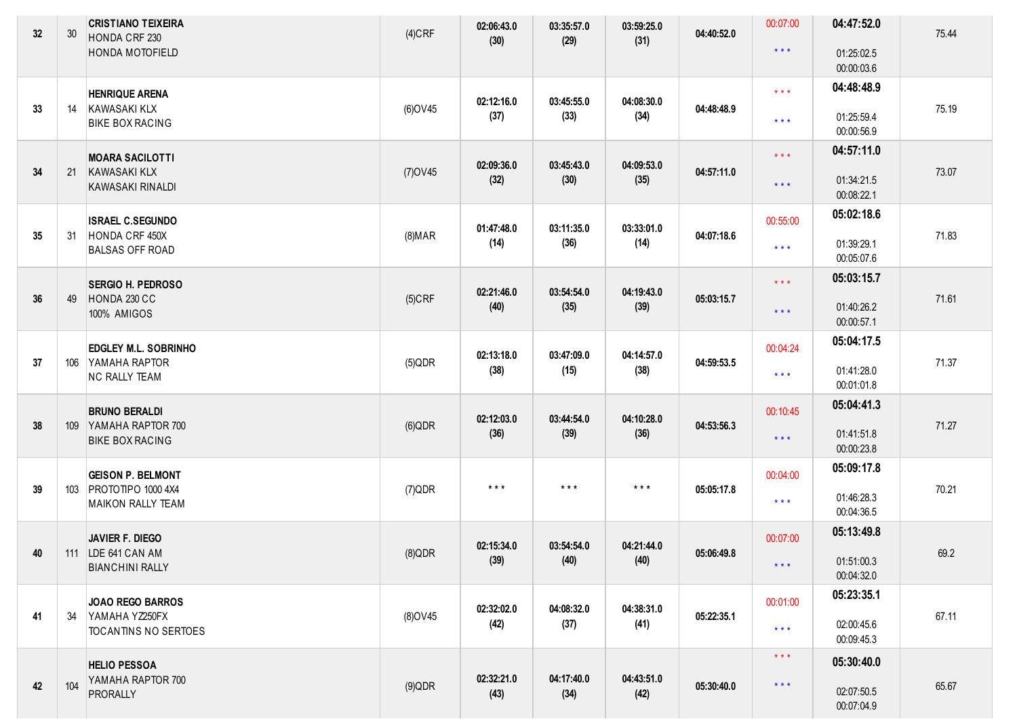| 32 | 30  | <b>CRISTIANO TEIXEIRA</b><br>HONDA CRF 230<br><b>HONDA MOTOFIELD</b> | $(4)$ CRF      | 02:06:43.0<br>(30)      | 03:35:57.0<br>(29)      | 03:59:25.0<br>(31)      | 04:40:52.0 | 00:07:00<br>$\star$ $\star$ $\star$ | 04:47:52.0<br>01:25:02.5 | 75.44 |
|----|-----|----------------------------------------------------------------------|----------------|-------------------------|-------------------------|-------------------------|------------|-------------------------------------|--------------------------|-------|
|    |     |                                                                      |                |                         |                         |                         |            |                                     | 00:00:03.6               |       |
|    |     | <b>HENRIQUE ARENA</b>                                                |                | 02:12:16.0              | 03:45:55.0              | 04:08:30.0              |            | $\star$ $\star$ $\star$             | 04:48:48.9               |       |
| 33 | 14  | KAWASAKI KLX<br><b>BIKE BOX RACING</b>                               | (6) OV45       | (37)                    | (33)                    | (34)                    | 04:48:48.9 | $\star$ $\star$ $\star$             | 01:25:59.4<br>00:00:56.9 | 75.19 |
|    |     | <b>MOARA SACILOTTI</b>                                               |                | 02:09:36.0              | 03:45:43.0              | 04:09:53.0              |            | $\star\star\star$                   | 04:57:11.0               |       |
| 34 | 21  | <b>KAWASAKI KLX</b><br><b>KAWASAKI RINALDI</b>                       | $(7)$ OV45     | (32)                    | (30)                    | (35)                    | 04:57:11.0 | $\star$ $\star$ $\star$             | 01:34:21.5<br>00:08:22.1 | 73.07 |
|    |     | <b>ISRAEL C.SEGUNDO</b>                                              |                | 01:47:48.0              | 03:11:35.0              | 03:33:01.0              |            | 00:55:00                            | 05:02:18.6               |       |
| 35 | 31  | HONDA CRF 450X<br><b>BALSAS OFF ROAD</b>                             | (8) <b>MAR</b> | (14)                    | (36)                    | (14)                    | 04:07:18.6 | $\star$ $\star$ $\star$             | 01:39:29.1<br>00:05:07.6 | 71.83 |
|    |     | <b>SERGIO H. PEDROSO</b>                                             |                | 02:21:46.0              | 03:54:54.0              | 04:19:43.0              |            | $\star\star\star$                   | 05:03:15.7               |       |
| 36 | 49  | HONDA 230 CC<br>100% AMIGOS                                          | $(5)$ CRF      | (40)                    | (35)                    | (39)                    | 05:03:15.7 | $***$                               | 01:40:26.2<br>00:00:57.1 | 71.61 |
|    |     | <b>EDGLEY M.L. SOBRINHO</b>                                          |                | 02:13:18.0              | 03:47:09.0              | 04:14:57.0              |            | 00:04:24                            | 05:04:17.5               |       |
| 37 |     | 106 YAMAHA RAPTOR<br><b>NC RALLY TEAM</b>                            | $(5)$ QDR      | (38)                    | (15)                    | (38)                    | 04:59:53.5 | $\star$ $\star$ $\star$             | 01:41:28.0<br>00:01:01.8 | 71.37 |
|    |     | <b>BRUNO BERALDI</b>                                                 |                | 02:12:03.0              | 03:44:54.0              | 04:10:28.0              |            | 00:10:45                            | 05:04:41.3               |       |
| 38 |     | 109 YAMAHA RAPTOR 700<br><b>BIKE BOX RACING</b>                      | $(6)$ QDR      | (36)                    | (39)                    | (36)                    | 04:53:56.3 | $\star$ $\star$ $\star$             | 01:41:51.8<br>00:00:23.8 | 71.27 |
|    |     | <b>GEISON P. BELMONT</b>                                             |                |                         |                         |                         |            | 00:04:00                            | 05:09:17.8               |       |
| 39 | 103 | PROTOTIPO 1000 4X4<br><b>MAIKON RALLY TEAM</b>                       | $(7)$ QDR      | $\star$ $\star$ $\star$ | $\star$ $\star$ $\star$ | $\star$ $\star$ $\star$ | 05:05:17.8 | $\star$ $\star$ $\star$             | 01:46:28.3<br>00:04:36.5 | 70.21 |
|    |     | <b>JAVIER F. DIEGO</b>                                               |                | 02:15:34.0              | 03:54:54.0              | 04:21:44.0              |            | 00:07:00                            | 05:13:49.8               |       |
| 40 |     | 111   LDE 641 CAN AM<br><b>BIANCHINI RALLY</b>                       | $(8)$ QDR      | (39)                    | (40)                    | (40)                    | 05:06:49.8 | $\star$ $\star$ $\star$             | 01:51:00.3<br>00:04:32.0 | 69.2  |
|    |     | <b>JOAO REGO BARROS</b>                                              |                | 02:32:02.0              | 04:08:32.0              | 04:38:31.0              |            | 00:01:00                            | 05:23:35.1               |       |
| 41 | 34  | YAMAHA YZ250FX<br><b>TOCANTINS NO SERTOES</b>                        | (8) OV 45      | (42)                    | (37)                    | (41)                    | 05:22:35.1 | $\star$ $\star$ $\star$             | 02:00:45.6<br>00:09:45.3 | 67.11 |
|    |     | <b>HELIO PESSOA</b>                                                  |                |                         |                         |                         |            | $\star$ $\star$ $\star$             | 05:30:40.0               |       |
| 42 | 104 | YAMAHA RAPTOR 700<br>PRORALLY                                        | $(9)$ QDR      | 02:32:21.0<br>(43)      | 04:17:40.0<br>(34)      | 04:43:51.0<br>(42)      | 05:30:40.0 | $\star$ $\star$ $\star$             | 02:07:50.5<br>00:07:04.9 | 65.67 |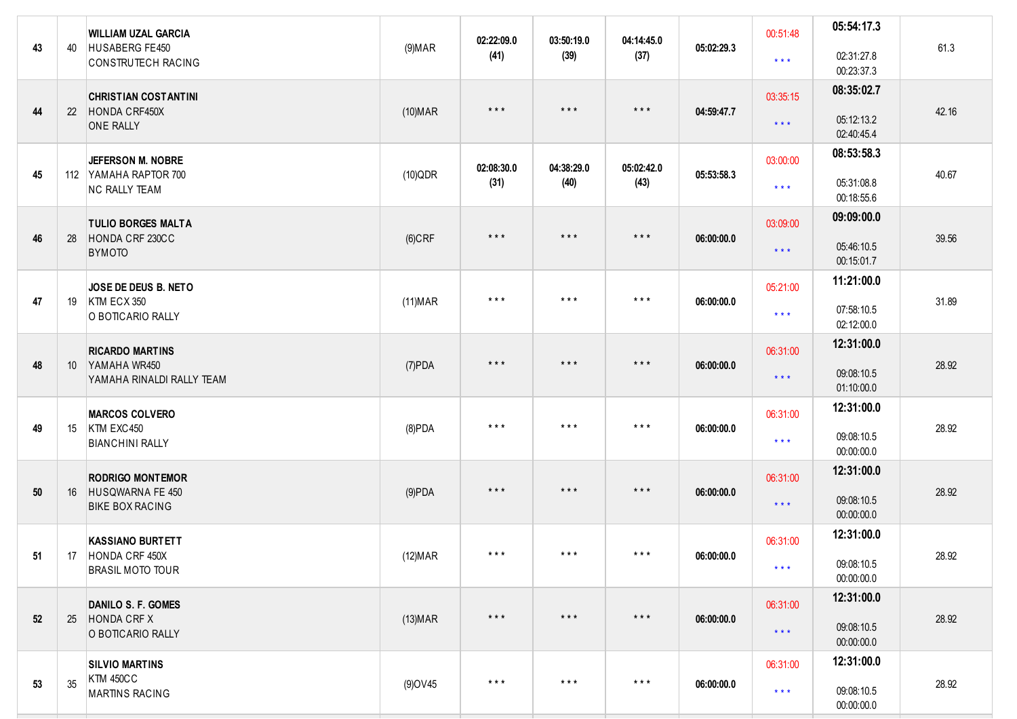| 43 | 40              | <b>WILLIAM UZAL GARCIA</b><br>HUSABERG FE450<br>CONSTRUTECH RACING      | (9) <b>MAR</b>  | 02:22:09.0<br>(41)      | 03:50:19.0<br>(39)      | 04:14:45.0<br>(37)      | 05:02:29.3 | 00:51:48<br>$\star\star\star$       | 05:54:17.3<br>02:31:27.8<br>00:23:37.3 | 61.3  |
|----|-----------------|-------------------------------------------------------------------------|-----------------|-------------------------|-------------------------|-------------------------|------------|-------------------------------------|----------------------------------------|-------|
| 44 | 22              | <b>CHRISTIAN COSTANTINI</b><br>HONDA CRF450X<br><b>ONE RALLY</b>        | $(10)$ MAR      | $\star$ $\star$ $\star$ | $\star$ $\star$ $\star$ | $\star$ $\star$ $\star$ | 04:59:47.7 | 03:35:15<br>$\star$ $\star$ $\star$ | 08:35:02.7<br>05:12:13.2<br>02:40:45.4 | 42.16 |
| 45 |                 | JEFERSON M. NOBRE<br>112 YAMAHA RAPTOR 700<br><b>NC RALLY TEAM</b>      | $(10)$ QDR      | 02:08:30.0<br>(31)      | 04:38:29.0<br>(40)      | 05:02:42.0<br>(43)      | 05:53:58.3 | 03:00:00<br>$\star$ $\star$ $\star$ | 08:53:58.3<br>05:31:08.8<br>00:18:55.6 | 40.67 |
| 46 | 28              | <b>TULIO BORGES MALTA</b><br>HONDA CRF 230CC<br><b>BYMOTO</b>           | $(6)$ CRF       | $\star$ $\star$ $\star$ | $\star$ $\star$ $\star$ | $***$                   | 06:00:00.0 | 03:09:00<br>$\star$ $\star$ $\star$ | 09:09:00.0<br>05:46:10.5<br>00:15:01.7 | 39.56 |
| 47 | 19              | JOSE DE DEUS B. NETO<br>KTM ECX 350<br>O BOTICARIO RALLY                | (11) <b>MAR</b> | $\star$ $\star$ $\star$ | $***$                   | $\star$ $\star$ $\star$ | 06:00:00.0 | 05:21:00<br>$\star$ $\star$ $\star$ | 11:21:00.0<br>07:58:10.5<br>02:12:00.0 | 31.89 |
| 48 | 10 <sup>°</sup> | <b>RICARDO MARTINS</b><br>YAMAHA WR450<br>YAMAHA RINALDI RALLY TEAM     | $(7)$ PDA       | $\star$ $\star$ $\star$ | $\star$ $\star$ $\star$ | $***$                   | 06:00:00.0 | 06:31:00<br>$\star$ $\star$ $\star$ | 12:31:00.0<br>09:08:10.5<br>01:10:00.0 | 28.92 |
| 49 | 15              | <b>MARCOS COLVERO</b><br>KTM EXC450<br><b>BIANCHINI RALLY</b>           | $(8)$ PDA       | $\star$ $\star$ $\star$ | $\star$ $\star$ $\star$ | $\star$ $\star$ $\star$ | 06:00:00.0 | 06:31:00<br>$\star\star\star$       | 12:31:00.0<br>09:08:10.5<br>00:00:00.0 | 28.92 |
| 50 | 16              | <b>RODRIGO MONTEMOR</b><br>HUSQWARNA FE 450<br><b>BIKE BOX RACING</b>   | $(9)$ PDA       | $\star$ $\star$ $\star$ | $\star$ $\star$ $\star$ | $\star$ $\star$ $\star$ | 06:00:00.0 | 06:31:00<br>$\star$ $\star$ $\star$ | 12:31:00.0<br>09:08:10.5<br>00:00:00.0 | 28.92 |
| 51 |                 | <b>KASSIANO BURTETT</b><br>17 HONDA CRF 450X<br><b>BRASIL MOTO TOUR</b> | (12) <b>MAR</b> | $\star$ $\star$ $\star$ | $***$                   | $\star$ $\star$ $\star$ | 06:00:00.0 | 06:31:00<br>$\star$ $\star$ $\star$ | 12:31:00.0<br>09:08:10.5<br>00:00:00.0 | 28.92 |
| 52 | 25              | DANILO S. F. GOMES<br>HONDA CRF X<br>O BOTICARIO RALLY                  | $(13)$ MAR      | $\star$ $\star$ $\star$ | $\star$ $\star$ $\star$ | $\star$ $\star$ $\star$ | 06:00:00.0 | 06:31:00<br>$\star$ $\star$ $\star$ | 12:31:00.0<br>09:08:10.5<br>00:00:00.0 | 28.92 |
| 53 | 35              | <b>SILVIO MARTINS</b><br><b>KTM 450CC</b><br><b>MARTINS RACING</b>      | (9) OV 45       | $\star$ $\star$ $\star$ | $***$                   | $\star$ $\star$ $\star$ | 06:00:00.0 | 06:31:00<br>$\star$ $\star$ $\star$ | 12:31:00.0<br>09:08:10.5<br>00:00:00.0 | 28.92 |